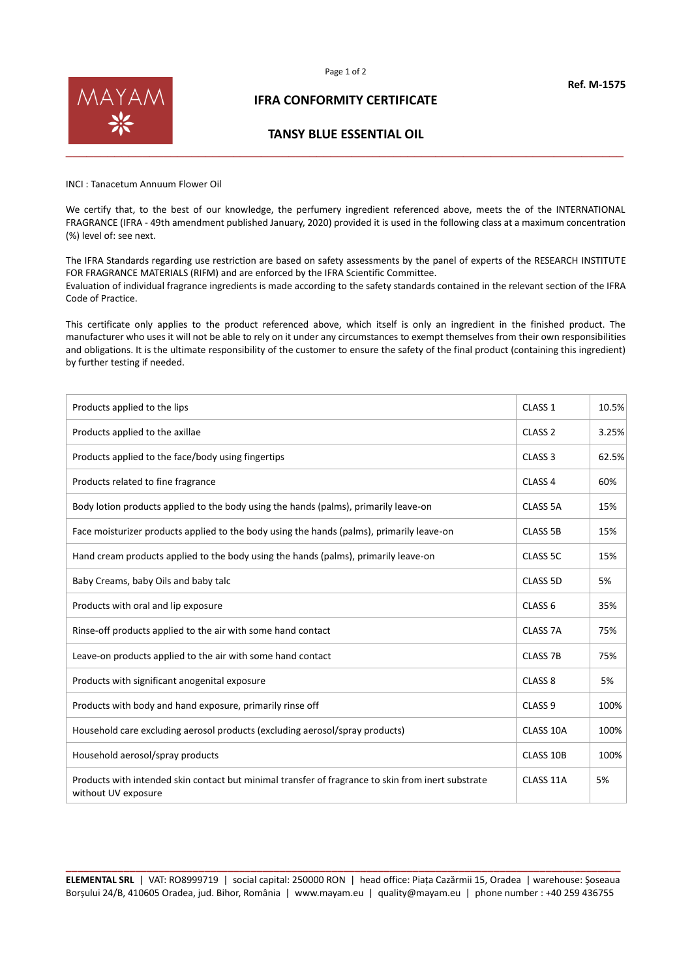



# **IFRA CONFORMITY CERTIFICATE**

### **TANSY BLUE ESSENTIAL OIL**

INCI : Tanacetum Annuum Flower Oil

We certify that, to the best of our knowledge, the perfumery ingredient referenced above, meets the of the INTERNATIONAL FRAGRANCE (IFRA - 49th amendment published January, 2020) provided it is used in the following class at a maximum concentration (%) level of: see next.

The IFRA Standards regarding use restriction are based on safety assessments by the panel of experts of the RESEARCH INSTITUTE FOR FRAGRANCE MATERIALS (RIFM) and are enforced by the IFRA Scientific Committee. Evaluation of individual fragrance ingredients is made according to the safety standards contained in the relevant section of the IFRA Code of Practice.

This certificate only applies to the product referenced above, which itself is only an ingredient in the finished product. The manufacturer who uses it will not be able to rely on it under any circumstances to exempt themselves from their own responsibilities and obligations. It is the ultimate responsibility of the customer to ensure the safety of the final product (containing this ingredient) by further testing if needed.

| Products applied to the lips                                                                                              | CLASS <sub>1</sub>  | 10.5% |
|---------------------------------------------------------------------------------------------------------------------------|---------------------|-------|
| Products applied to the axillae                                                                                           | CLASS <sub>2</sub>  | 3.25% |
| Products applied to the face/body using fingertips                                                                        | CLASS <sub>3</sub>  | 62.5% |
| Products related to fine fragrance                                                                                        | CLASS <sub>4</sub>  | 60%   |
| Body lotion products applied to the body using the hands (palms), primarily leave-on                                      | CLASS 5A            | 15%   |
| Face moisturizer products applied to the body using the hands (palms), primarily leave-on                                 | <b>CLASS 5B</b>     | 15%   |
| Hand cream products applied to the body using the hands (palms), primarily leave-on                                       | CLASS 5C            | 15%   |
| Baby Creams, baby Oils and baby talc                                                                                      | CLASS 5D            | 5%    |
| Products with oral and lip exposure                                                                                       | CLASS <sub>6</sub>  | 35%   |
| Rinse-off products applied to the air with some hand contact                                                              | CLASS <sub>7A</sub> | 75%   |
| Leave-on products applied to the air with some hand contact                                                               | <b>CLASS 7B</b>     | 75%   |
| Products with significant anogenital exposure                                                                             | CLASS <sub>8</sub>  | 5%    |
| Products with body and hand exposure, primarily rinse off                                                                 | CLASS <sub>9</sub>  | 100%  |
| Household care excluding aerosol products (excluding aerosol/spray products)                                              | CLASS 10A           | 100%  |
| Household aerosol/spray products                                                                                          | CLASS 10B           | 100%  |
| Products with intended skin contact but minimal transfer of fragrance to skin from inert substrate<br>without UV exposure | CLASS 11A           | 5%    |

**\_\_\_\_\_\_\_\_\_\_\_\_\_\_\_\_\_\_\_\_\_\_\_\_\_\_\_\_\_\_\_\_\_\_\_\_\_\_\_\_\_\_\_\_\_\_\_\_\_\_\_\_\_\_\_\_\_\_\_\_\_\_\_\_\_\_\_\_\_\_\_\_\_\_\_\_\_\_\_\_\_\_\_\_\_\_\_\_\_\_\_\_\_\_\_\_ ELEMENTAL SRL** | VAT: RO8999719 | social capital: 250000 RON | head office: Piața Cazărmii 15, Oradea | warehouse: Șoseaua Borșului 24/B, 410605 Oradea, jud. Bihor, România | www.mayam.eu | quality@mayam.eu | phone number : +40 259 436755